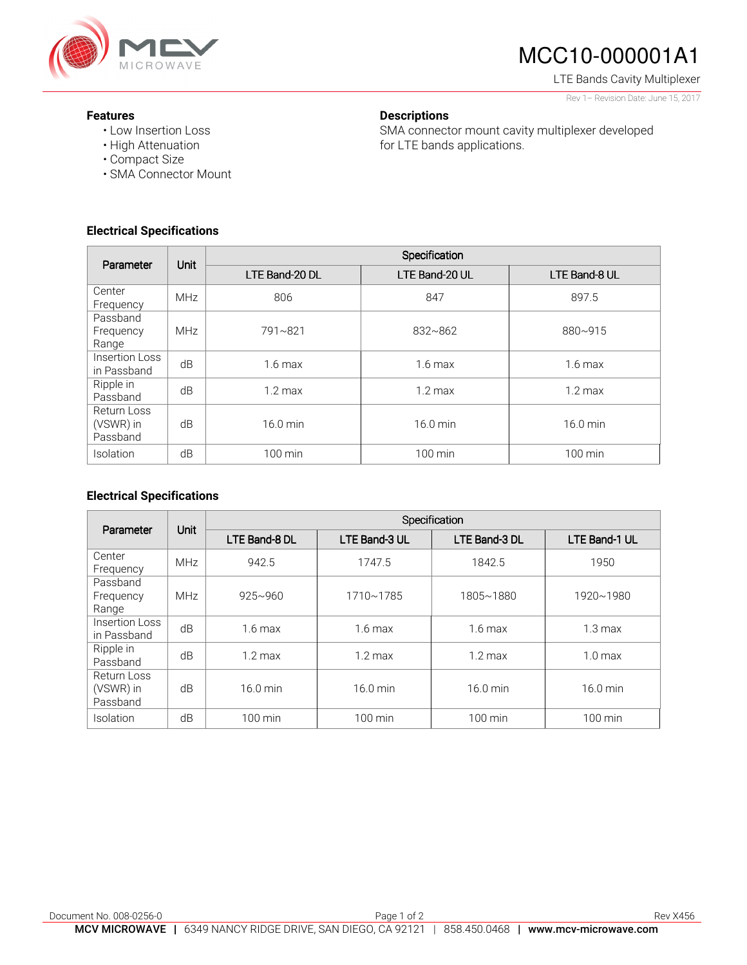

# MCC10-000001A1

LTE Bands Cavity Multiplexer

#### Rev 1– Revision Date: June 15, 2017

#### **Features**

- Low Insertion Loss
- High Attenuation
- Compact Size
- SMA Connector Mount

### **Electrical Specifications**

| Parameter                            | Unit       | Specification     |                   |                   |  |
|--------------------------------------|------------|-------------------|-------------------|-------------------|--|
|                                      |            | LTE Band-20 DL    | LTE Band-20 UL    | LTE Band-8 UL     |  |
| Center<br>Frequency                  | <b>MHz</b> | 806               | 847               | 897.5             |  |
| Passband<br>Frequency<br>Range       | <b>MHz</b> | 791~821           | 832~862           | 880~915           |  |
| Insertion Loss<br>in Passband        | dB         | $1.6 \text{ max}$ | $1.6$ max         | $1.6 \text{ max}$ |  |
| Ripple in<br>Passband                | dB         | $1.2 \text{ max}$ | $1.2 \text{ max}$ | $1.2 \text{ max}$ |  |
| Return Loss<br>(VSWR) in<br>Passband | dB         | 16.0 min          | 16.0 min          | 16.0 min          |  |
| Isolation                            | dB         | 100 min           | 100 min           | 100 min           |  |

**Descriptions** 

for LTE bands applications.

SMA connector mount cavity multiplexer developed

#### **Electrical Specifications**

| Parameter                            | Unit       | Specification     |                    |                   |                   |
|--------------------------------------|------------|-------------------|--------------------|-------------------|-------------------|
|                                      |            | LTE Band-8 DL     | LTE Band-3 UL      | LTE Band-3 DL     | LTE Band-1 UL     |
| Center<br>Frequency                  | <b>MHz</b> | 942.5             | 1747.5             | 1842.5            | 1950              |
| Passband<br>Frequency<br>Range       | <b>MHz</b> | $925 - 960$       | 1710~1785          | 1805~1880         | 1920~1980         |
| Insertion Loss<br>in Passband        | dB         | $1.6 \text{ max}$ | $1.6 \text{ max}$  | $1.6 \text{ max}$ | $1.3 \text{ max}$ |
| Ripple in<br>Passband                | dB         | $1.2 \text{ max}$ | $1.2 \text{ max}$  | $1.2 \text{ max}$ | $1.0 \text{ max}$ |
| Return Loss<br>(VSWR) in<br>Passband | dB         | 16.0 min          | $16.0 \text{ min}$ | 16.0 min          | 16.0 min          |
| Isolation                            | dB         | $100 \text{ min}$ | $100 \text{ min}$  | 100 min           | 100 min           |